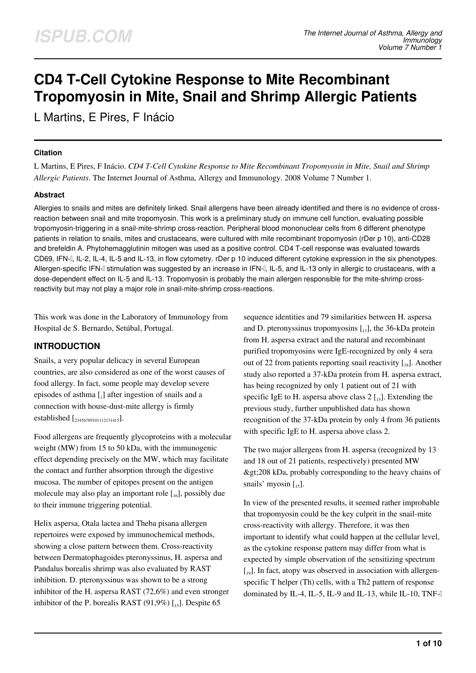# **CD4 T-Cell Cytokine Response to Mite Recombinant Tropomyosin in Mite, Snail and Shrimp Allergic Patients**

L Martins, E Pires, F Inácio

#### **Citation**

L Martins, E Pires, F Inácio. *CD4 T-Cell Cytokine Response to Mite Recombinant Tropomyosin in Mite, Snail and Shrimp Allergic Patients*. The Internet Journal of Asthma, Allergy and Immunology. 2008 Volume 7 Number 1.

#### **Abstract**

Allergies to snails and mites are definitely linked. Snail allergens have been already identified and there is no evidence of crossreaction between snail and mite tropomyosin. This work is a preliminary study on immune cell function, evaluating possible tropomyosin-triggering in a snail-mite-shrimp cross-reaction. Peripheral blood mononuclear cells from 6 different phenotype patients in relation to snails, mites and crustaceans, were cultured with mite recombinant tropomyosin (rDer p 10), anti-CD28 and brefeldin A. Phytohemagglutinin mitogen was used as a positive control. CD4 T-cell response was evaluated towards CD69, IFN-I, IL-2, IL-4, IL-5 and IL-13, in flow cytometry. rDer p 10 induced different cytokine expression in the six phenotypes. Allergen-specific IFN-<sub>I</sub> stimulation was suggested by an increase in IFN-I, IL-5, and IL-13 only in allergic to crustaceans, with a dose-dependent effect on IL-5 and IL-13. Tropomyosin is probably the main allergen responsible for the mite-shrimp crossreactivity but may not play a major role in snail-mite-shrimp cross-reactions.

This work was done in the Laboratory of Immunology from Hospital de S. Bernardo, Setúbal, Portugal.

## **INTRODUCTION**

Snails, a very popular delicacy in several European countries, are also considered as one of the worst causes of food allergy. In fact, some people may develop severe episodes of asthma  $\begin{bmatrix} 1 \end{bmatrix}$  after ingestion of snails and a connection with house-dust-mite allergy is firmly established [<sub>23456789101112131415</sub>].

Food allergens are frequently glycoproteins with a molecular weight (MW) from 15 to 50 kDa, with the immunogenic effect depending precisely on the MW, which may facilitate the contact and further absorption through the digestive mucosa. The number of epitopes present on the antigen molecule may also play an important role  $[I_{16}]$ , possibly due to their immune triggering potential.

Helix aspersa, Otala lactea and Theba pisana allergen repertoires were exposed by immunochemical methods, showing a close pattern between them. Cross-reactivity between Dermatophagoides pteronyssinus, H. aspersa and Pandalus borealis shrimp was also evaluated by RAST inhibition. D. pteronyssinus was shown to be a strong inhibitor of the H. aspersa RAST (72,6%) and even stronger inhibitor of the P. borealis RAST  $(91,9\%)$  [15]. Despite 65

sequence identities and 79 similarities between H. aspersa and D. pteronyssinus tropomyosins  $\begin{bmatrix} 1 \\ 2 \end{bmatrix}$ , the 36-kDa protein from H. aspersa extract and the natural and recombinant purified tropomyosins were IgE-recognized by only 4 sera out of 22 from patients reporting snail reactivity  $\begin{bmatrix} 18 \end{bmatrix}$ . Another study also reported a 37-kDa protein from H. aspersa extract, has being recognized by only 1 patient out of 21 with specific IgE to H. aspersa above class  $2 \left[ \frac{1}{25} \right]$ . Extending the previous study, further unpublished data has shown recognition of the 37-kDa protein by only 4 from 36 patients with specific IgE to H. aspersa above class 2.

The two major allergens from H. aspersa (recognized by 13 and 18 out of 21 patients, respectively) presented MW >208 kDa, probably corresponding to the heavy chains of snails' myosin  $\begin{bmatrix} 1, 1 \end{bmatrix}$ .

In view of the presented results, it seemed rather improbable that tropomyosin could be the key culprit in the snail-mite cross-reactivity with allergy. Therefore, it was then important to identify what could happen at the cellular level, as the cytokine response pattern may differ from what is expected by simple observation of the sensitizing spectrum  $\left[1, 0\right]$ . In fact, atopy was observed in association with allergenspecific T helper (Th) cells, with a Th2 pattern of response dominated by IL-4, IL-5, IL-9 and IL-13, while IL-10, TNF-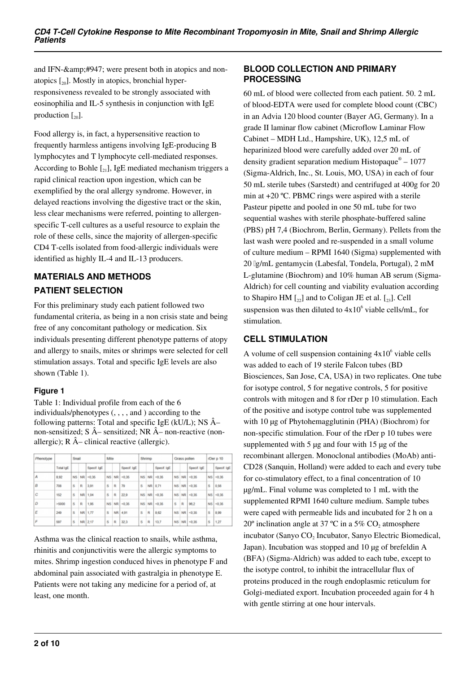and IFN-&amp:#947; were present both in atopics and nonatopics  $[20]$ . Mostly in atopics, bronchial hyperresponsiveness revealed to be strongly associated with eosinophilia and IL-5 synthesis in conjunction with IgE production  $\lceil_{20}\rceil$ .

Food allergy is, in fact, a hypersensitive reaction to frequently harmless antigens involving IgE-producing B lymphocytes and T lymphocyte cell-mediated responses. According to Bohle  $\left[21\right]$ , IgE mediated mechanism triggers a rapid clinical reaction upon ingestion, which can be exemplified by the oral allergy syndrome. However, in delayed reactions involving the digestive tract or the skin, less clear mechanisms were referred, pointing to allergenspecific T-cell cultures as a useful resource to explain the role of these cells, since the majority of allergen-specific CD4 T-cells isolated from food-allergic individuals were identified as highly IL-4 and IL-13 producers.

# **MATERIALS AND METHODS PATIENT SELECTION**

For this preliminary study each patient followed two fundamental criteria, as being in a non crisis state and being free of any concomitant pathology or medication. Six individuals presenting different phenotype patterns of atopy and allergy to snails, mites or shrimps were selected for cell stimulation assays. Total and specific IgE levels are also shown (Table 1).

## **Figure 1**

Table 1: Individual profile from each of the 6 individuals/phenotypes (, , , , and ) according to the following patterns: Total and specific IgE (kU/L); NS  $\hat{A}$ non-sensitized;  $S \hat{A}$ – sensitized; NR  $\hat{A}$ – non-reactive (nonallergic);  $R \hat{A}$ – clinical reactive (allergic).

| Phenotype |                  | Snail     |    |             | Mite      |           |             | Shrimp    |     |             | Grass pollen |           |             | rDer p 10 |             |  |
|-----------|------------------|-----------|----|-------------|-----------|-----------|-------------|-----------|-----|-------------|--------------|-----------|-------------|-----------|-------------|--|
|           | <b>Total loE</b> |           |    | Specif. IgE |           |           | Specif. IgE |           |     | Specif. IgE |              |           | Specif. IgE |           | Specif. IgE |  |
| А         | 8.92             | <b>NS</b> | NR | $-0.36$     | <b>NS</b> | <b>NR</b> | < 0.35      | <b>NS</b> | NR. | < 0.35      | NS.          | <b>NR</b> | < 0.35      | <b>NS</b> | < 0.35      |  |
| B         | 708              | s         | R  | 3,91        | s         | R         | 79          | s         | NR  | 0.71        | NS           | NR.       | < 0.35      | s         | 0,56        |  |
| c         | 152              | s         |    | NR 1,04     | s         | R         | 22.9        | NS        | NR  | < 0.35      | NS.          | NR        | < 0.35      | <b>NS</b> | < 0.35      |  |
| D         | $=5000$          | Ŝ         | R  | 1,95        | <b>NS</b> | NR        | $+0.35$     | <b>NS</b> | NR  | $-0.35$     | s            | R         | 96.2        | <b>NS</b> | $-0.35$     |  |
| Ε         | 249              | s         |    | NR 1.77     | s         | <b>NR</b> | 4.91        | s         | R   | 8.62        |              | NS NR     | < 0.35      | s         | 8.99        |  |
| F         | 597              | Ś         |    | NR 2.17     | ŝ         | R         | 32.3        | Ś         | R   | 13.7        |              | NS NR     | < 0.35      | Ś         | 1.27        |  |

Asthma was the clinical reaction to snails, while asthma, rhinitis and conjunctivitis were the allergic symptoms to mites. Shrimp ingestion conduced hives in phenotype F and abdominal pain associated with gastralgia in phenotype E. Patients were not taking any medicine for a period of, at least, one month.

#### **BLOOD COLLECTION AND PRIMARY PROCESSING**

60 mL of blood were collected from each patient. 50. 2 mL of blood-EDTA were used for complete blood count (CBC) in an Advia 120 blood counter (Bayer AG, Germany). In a grade II laminar flow cabinet (Microflow Laminar Flow Cabinet – MDH Ltd., Hampshire, UK), 12,5 mL of heparinized blood were carefully added over 20 mL of density gradient separation medium Histopaque® - 1077 (Sigma-Aldrich, Inc., St. Louis, MO, USA) in each of four 50 mL sterile tubes (Sarstedt) and centrifuged at 400g for 20 min at +20 ºC. PBMC rings were aspired with a sterile Pasteur pipette and pooled in one 50 mL tube for two sequential washes with sterile phosphate-buffered saline (PBS) pH 7,4 (Biochrom, Berlin, Germany). Pellets from the last wash were pooled and re-suspended in a small volume of culture medium – RPMI 1640 (Sigma) supplemented with 20 μg/mL gentamycin (Labesfal, Tondela, Portugal), 2 mM L-glutamine (Biochrom) and 10% human AB serum (Sigma-Aldrich) for cell counting and viability evaluation according to Shapiro HM  $\lceil_{22}\rceil$  and to Coligan JE et al.  $\lceil_{23}\rceil$ . Cell suspension was then diluted to  $4x10^6$  viable cells/mL, for stimulation.

## **CELL STIMULATION**

A volume of cell suspension containing  $4x10^6$  viable cells was added to each of 19 sterile Falcon tubes (BD Biosciences, San Jose, CA, USA) in two replicates. One tube for isotype control, 5 for negative controls, 5 for positive controls with mitogen and 8 for rDer p 10 stimulation. Each of the positive and isotype control tube was supplemented with 10 µg of Phytohemagglutinin (PHA) (Biochrom) for non-specific stimulation. Four of the rDer p 10 tubes were supplemented with  $5 \mu$ g and four with  $15 \mu$ g of the recombinant allergen. Monoclonal antibodies (MoAb) anti-CD28 (Sanquin, Holland) were added to each and every tube for co-stimulatory effect, to a final concentration of 10 µg/mL. Final volume was completed to 1 mL with the supplemented RPMI 1640 culture medium. Sample tubes were caped with permeable lids and incubated for 2 h on a 20<sup>°</sup> inclination angle at 37 °C in a 5%  $CO_2$  atmosphere incubator (Sanyo CO<sub>2</sub> Incubator, Sanyo Electric Biomedical, Japan). Incubation was stopped and 10 µg of brefeldin A (BFA) (Sigma-Aldrich) was added to each tube, except to the isotype control, to inhibit the intracellular flux of proteins produced in the rough endoplasmic reticulum for Golgi-mediated export. Incubation proceeded again for 4 h with gentle stirring at one hour intervals.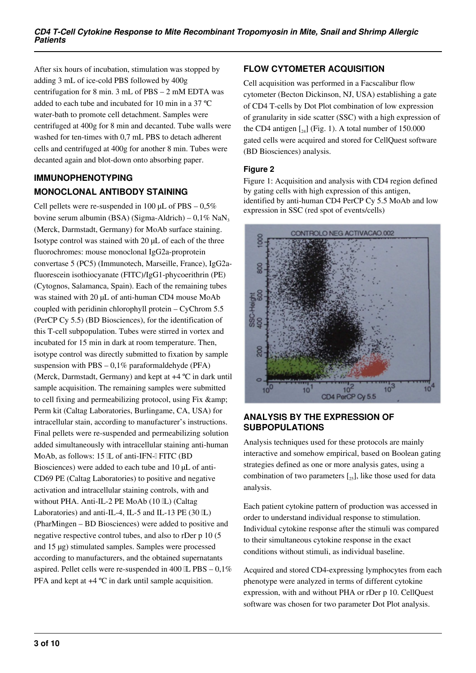After six hours of incubation, stimulation was stopped by adding 3 mL of ice-cold PBS followed by 400g centrifugation for 8 min. 3 mL of PBS – 2 mM EDTA was added to each tube and incubated for 10 min in a 37 ºC water-bath to promote cell detachment. Samples were centrifuged at 400g for 8 min and decanted. Tube walls were washed for ten-times with 0,7 mL PBS to detach adherent cells and centrifuged at 400g for another 8 min. Tubes were decanted again and blot-down onto absorbing paper.

## **IMMUNOPHENOTYPING MONOCLONAL ANTIBODY STAINING**

Cell pellets were re-suspended in 100  $\mu$ L of PBS – 0.5% bovine serum albumin (BSA) (Sigma-Aldrich) –  $0.1\%$  NaN<sub>3</sub> (Merck, Darmstadt, Germany) for MoAb surface staining. Isotype control was stained with 20 µL of each of the three fluorochromes: mouse monoclonal IgG2a-proprotein convertase 5 (PC5) (Immunotech, Marseille, France), IgG2afluorescein isothiocyanate (FITC)/IgG1-phycoerithrin (PE) (Cytognos, Salamanca, Spain). Each of the remaining tubes was stained with 20 µL of anti-human CD4 mouse MoAb coupled with peridinin chlorophyll protein – CyChrom 5.5 (PerCP Cy 5.5) (BD Biosciences), for the identification of this T-cell subpopulation. Tubes were stirred in vortex and incubated for 15 min in dark at room temperature. Then, isotype control was directly submitted to fixation by sample suspension with  $PBS - 0.1\%$  paraformaldehyde (PFA) (Merck, Darmstadt, Germany) and kept at +4 ºC in dark until sample acquisition. The remaining samples were submitted to cell fixing and permeabilizing protocol, using Fix & Perm kit (Caltag Laboratories, Burlingame, CA, USA) for intracellular stain, according to manufacturer's instructions. Final pellets were re-suspended and permeabilizing solution added simultaneously with intracellular staining anti-human MoAb, as follows: 15 L of anti-IFN-I FITC (BD Biosciences) were added to each tube and 10 µL of anti-CD69 PE (Caltag Laboratories) to positive and negative activation and intracellular staining controls, with and without PHA. Anti-IL-2 PE MoAb (10 IL) (Caltag Laboratories) and anti-IL-4, IL-5 and IL-13 PE  $(30 \text{ IL})$ (PharMingen – BD Biosciences) were added to positive and negative respective control tubes, and also to rDer p 10 (5 and 15 µg) stimulated samples. Samples were processed according to manufacturers, and the obtained supernatants aspired. Pellet cells were re-suspended in 400  $\mathbb{L}$  PBS – 0,1% PFA and kept at +4 ºC in dark until sample acquisition.

# **FLOW CYTOMETER ACQUISITION**

Cell acquisition was performed in a Facscalibur flow cytometer (Becton Dickinson, NJ, USA) establishing a gate of CD4 T-cells by Dot Plot combination of low expression of granularity in side scatter (SSC) with a high expression of the CD4 antigen  $\left[\begin{smallmatrix}24\end{smallmatrix}\right]$  (Fig. 1). A total number of 150.000 gated cells were acquired and stored for CellQuest software (BD Biosciences) analysis.

## **Figure 2**

Figure 1: Acquisition and analysis with CD4 region defined by gating cells with high expression of this antigen, identified by anti-human CD4 PerCP Cy 5.5 MoAb and low expression in SSC (red spot of events/cells)



## **ANALYSIS BY THE EXPRESSION OF SUBPOPULATIONS**

Analysis techniques used for these protocols are mainly interactive and somehow empirical, based on Boolean gating strategies defined as one or more analysis gates, using a combination of two parameters  $[2, 1]$ , like those used for data analysis.

Each patient cytokine pattern of production was accessed in order to understand individual response to stimulation. Individual cytokine response after the stimuli was compared to their simultaneous cytokine response in the exact conditions without stimuli, as individual baseline.

Acquired and stored CD4-expressing lymphocytes from each phenotype were analyzed in terms of different cytokine expression, with and without PHA or rDer p 10. CellQuest software was chosen for two parameter Dot Plot analysis.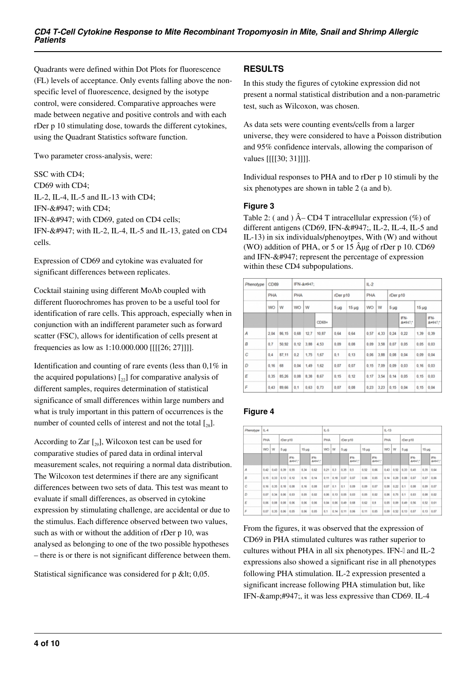Quadrants were defined within Dot Plots for fluorescence (FL) levels of acceptance. Only events falling above the nonspecific level of fluorescence, designed by the isotype control, were considered. Comparative approaches were made between negative and positive controls and with each rDer p 10 stimulating dose, towards the different cytokines, using the Quadrant Statistics software function.

Two parameter cross-analysis, were:

SSC with CD4; CD69 with CD4; IL-2, IL-4, IL-5 and IL-13 with CD4; IFN-γ with CD4; IFN-γ with CD69, gated on CD4 cells; IFN-γ with IL-2, IL-4, IL-5 and IL-13, gated on CD4 cells.

Expression of CD69 and cytokine was evaluated for significant differences between replicates.

Cocktail staining using different MoAb coupled with different fluorochromes has proven to be a useful tool for identification of rare cells. This approach, especially when in conjunction with an indifferent parameter such as forward scatter (FSC), allows for identification of cells present at frequencies as low as 1:10.000.000 [[[[26; 27]]]].

Identification and counting of rare events (less than 0,1% in the acquired populations)  $\begin{bmatrix} 2 \\ 2 \end{bmatrix}$  for comparative analysis of different samples, requires determination of statistical significance of small differences within large numbers and what is truly important in this pattern of occurrences is the number of counted cells of interest and not the total  $\left[\frac{1}{28}\right]$ .

According to Zar  $\left[\begin{smallmatrix} 2 & 0 \\ 2 & 9 \end{smallmatrix}\right]$ , Wilcoxon test can be used for comparative studies of pared data in ordinal interval measurement scales, not requiring a normal data distribution. The Wilcoxon test determines if there are any significant differences between two sets of data. This test was meant to evaluate if small differences, as observed in cytokine expression by stimulating challenge, are accidental or due to the stimulus. Each difference observed between two values, such as with or without the addition of rDer p 10, was analysed as belonging to one of the two possible hypotheses – there is or there is not significant difference between them.

Statistical significance was considered for  $p \< 0.05$ .

#### **RESULTS**

In this study the figures of cytokine expression did not present a normal statistical distribution and a non-parametric test, such as Wilcoxon, was chosen.

As data sets were counting events/cells from a larger universe, they were considered to have a Poisson distribution and 95% confidence intervals, allowing the comparison of values [[[[30; 31]]]].

Individual responses to PHA and to rDer p 10 stimuli by the six phenotypes are shown in table 2 (a and b).

#### **Figure 3**

Table 2: ( and )  $\hat{A}$ – CD4 T intracellular expression (%) of different antigens (CD69, IFN-γ, IL-2, IL-4, IL-5 and IL-13) in six individuals/phenoytpes, With (W) and without (WO) addition of PHA, or  $5$  or  $15$   $\hat{A}$ µg of rDer p 10. CD69 and IFN- $&$ #947; represent the percentage of expression within these CD4 subpopulations.

| Phenotype | CD <sub>69</sub> |       |         | IFN-γ: |         |                 |            | $IL-2$ |      |                 |             |          |             |  |  |
|-----------|------------------|-------|---------|--------|---------|-----------------|------------|--------|------|-----------------|-------------|----------|-------------|--|--|
|           | <b>PHA</b>       |       | PHA     |        |         | rDer p10        |            |        | PHA  |                 | rDer p10    |          |             |  |  |
|           | w<br>WO          |       | W<br>WO |        |         | 5 <sub>µq</sub> | $15 \mu g$ | WO     | W    | 5 <sub>µg</sub> |             | $15\mug$ |             |  |  |
|           |                  |       |         |        | $CD69+$ |                 |            |        |      |                 | IFN-<br>γ:* |          | IFN-<br>γ:* |  |  |
| А         | 2.04             | 86.15 | 0.68    | 12.7   | 10.87   | 0.64            | 0.64       | 0.57   | 4.33 | 0.24            | 0.22        | 1,39     | 0,39        |  |  |
| В         | 0.7              | 50,92 | 0,12    | 3,88   | 4,53    | 0,09            | 0,08       | 0,09   | 3,58 | 0,07            | 0,05        | 0.05     | 0.03        |  |  |
| C         | 0.4              | 87.11 | 0.2     | 1.75   | 1.67    | 0.1             | 0, 13      | 0.06   | 3.88 | 0.08            | 0.04        | 0.09     | 0.04        |  |  |
| D         | 0.16             | 68    | 0.04    | 1.49   | 1.62    | 0.07            | 0.07       | 0.15   | 7.09 | 0.09            | 0.03        | 0.16     | 0.03        |  |  |
| E         | 0.35             | 85.26 | 0.08    | 8.38   | 8.67    | 0.15            | 0.12       | 0.17   | 3.54 | 0.14            | 0.05        | 0.15     | 0.03        |  |  |
| F         | 0,43             | 89,66 | 0.1     | 0,63   | 0,73    | 0.07            | 0.08       | 0.23   | 3.23 | 0.15            | 0.04        | 0, 15    | 0.04        |  |  |

## **Figure 4**

| Phenotype | $11 - 4$ |      |                 |             |            |             |              | $L-5$         |                  |                  |                  |                 |            |      | $IL - 13$        |             |            |           |  |  |
|-----------|----------|------|-----------------|-------------|------------|-------------|--------------|---------------|------------------|------------------|------------------|-----------------|------------|------|------------------|-------------|------------|-----------|--|--|
|           | PHA      |      | rDer p10        |             |            |             | PHA          |               |                  | rDer p10         |                  |                 | <b>PHA</b> |      | rDer p10         |             |            |           |  |  |
|           | WO<br>W  |      | 5 <sub>14</sub> |             | $15 \mu g$ |             | WO<br>۱w     |               | 5 <sub>140</sub> |                  | 15 <sub>µg</sub> |                 | WO         | W    | 5 <sub>140</sub> |             | $15 \mu$ g |           |  |  |
|           |          |      |                 | IFN-<br>γ." |            | IFN-<br>γ." |              |               |                  | IFN-<br>8:4947." |                  | FN-<br>8:4947.5 |            |      |                  | IFN-<br>γ.* |            | FN-<br>γ* |  |  |
| А         | 0.42     | 0.43 | 0.39            | 0.55        | 0.34       | 0.62        | $0.21 - 0.3$ |               | 0.35             | 0.5              | 0.52             | 0.66            | 0.43       | 0.52 | 0.33             | 0.45        | 0.35       | 0.64      |  |  |
| B         | 0.15     | 0.33 | 0.13            | 0.12        | 0.16       | 0.14        |              | $0.11$ $0.18$ | 0.07             | 0.07             | 0.06             | 0.05            | 0.14       | 0.29 | 0.08             | 0.07        | 0.07       | 0.06      |  |  |
| c         | 0.16     | 0.35 | 0.18            | 0.08        | 0.16       | 0.08        | 0.07         | 0.1           | 0.1              | 0.09             | 0.09             | 0.07            | 0.08       | 0.22 | 0.1              | 0.08        | 0.09       | 0.07      |  |  |
| Đ         | 0.07     | 0.34 | 0.06            | 0.03        | 0.05       | 0.02        | 0.06         | 0, 13         | 0.05             | 0.03             | 0.05             | 0.02            | 0.06       | 0.75 | 0.1              | 0.03        | 0.08       | 0.02      |  |  |
| Ε         | 0.06     | 0.08 | 0.08            | 0.06        | 0.06       | 0.06        | 0.04         | 0.06          | 0.49             | 0.68             | 0.62             | 0.8             | 0.05       | 0.09 | 0.49             | 0.56        | 0.52       | 0.61      |  |  |
| F         | 0.07     | 0.35 | 0.06            | 0.05        | 0.06       | 0.05        | 0.1          | 0, 14         | 0.11             | 0.06             | 0.11             | 0.05            | 0.09       | 0.52 | 0.13             | 0.07        | 0.13       | 0.07      |  |  |

From the figures, it was observed that the expression of CD69 in PHA stimulated cultures was rather superior to cultures without PHA in all six phenotypes. IFN-I and IL-2 expressions also showed a significant rise in all phenotypes following PHA stimulation. IL-2 expression presented a significant increase following PHA stimulation but, like IFN-γ, it was less expressive than CD69. IL-4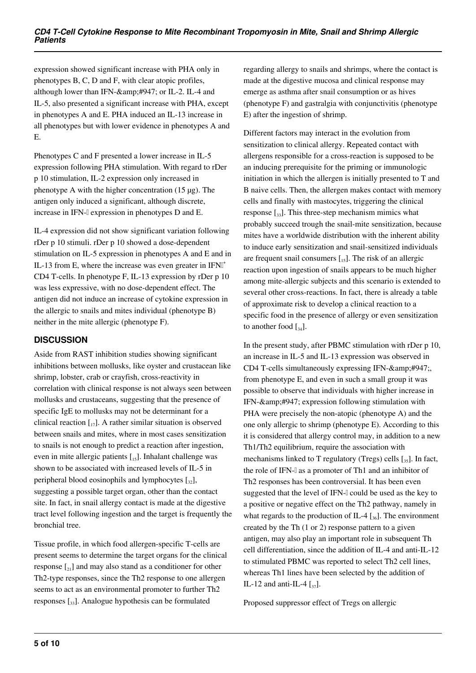expression showed significant increase with PHA only in phenotypes B, C, D and F, with clear atopic profiles, although lower than IFN-γ or IL-2. IL-4 and IL-5, also presented a significant increase with PHA, except in phenotypes A and E. PHA induced an IL-13 increase in all phenotypes but with lower evidence in phenotypes A and E.

Phenotypes C and F presented a lower increase in IL-5 expression following PHA stimulation. With regard to rDer p 10 stimulation, IL-2 expression only increased in phenotype A with the higher concentration (15 µg). The antigen only induced a significant, although discrete, increase in IFN-I expression in phenotypes D and E.

IL-4 expression did not show significant variation following rDer p 10 stimuli. rDer p 10 showed a dose-dependent stimulation on IL-5 expression in phenotypes A and E and in IL-13 from E, where the increase was even greater in  $IFN<sup>†</sup>$ CD4 T-cells. In phenotype F, IL-13 expression by rDer p 10 was less expressive, with no dose-dependent effect. The antigen did not induce an increase of cytokine expression in the allergic to snails and mites individual (phenotype B) neither in the mite allergic (phenotype F).

## **DISCUSSION**

Aside from RAST inhibition studies showing significant inhibitions between mollusks, like oyster and crustacean like shrimp, lobster, crab or crayfish, cross-reactivity in correlation with clinical response is not always seen between mollusks and crustaceans, suggesting that the presence of specific IgE to mollusks may not be determinant for a clinical reaction  $\begin{bmatrix} 1 \\ 1 \end{bmatrix}$ . A rather similar situation is observed between snails and mites, where in most cases sensitization to snails is not enough to predict a reaction after ingestion, even in mite allergic patients  $\begin{bmatrix} 15 \end{bmatrix}$ . Inhalant challenge was shown to be associated with increased levels of IL-5 in peripheral blood eosinophils and lymphocytes  $\lceil_{32}\rceil$ , suggesting a possible target organ, other than the contact site. In fact, in snail allergy contact is made at the digestive tract level following ingestion and the target is frequently the bronchial tree.

Tissue profile, in which food allergen-specific T-cells are present seems to determine the target organs for the clinical response  $\lceil z_1 \rceil$  and may also stand as a conditioner for other Th2-type responses, since the Th2 response to one allergen seems to act as an environmental promoter to further Th2 responses  $\left[\right]$ . Analogue hypothesis can be formulated

regarding allergy to snails and shrimps, where the contact is made at the digestive mucosa and clinical response may emerge as asthma after snail consumption or as hives (phenotype F) and gastralgia with conjunctivitis (phenotype E) after the ingestion of shrimp.

Different factors may interact in the evolution from sensitization to clinical allergy. Repeated contact with allergens responsible for a cross-reaction is supposed to be an inducing prerequisite for the priming or immunologic initiation in which the allergen is initially presented to T and B naive cells. Then, the allergen makes contact with memory cells and finally with mastocytes, triggering the clinical response  $\left[ \cdot_{33} \right]$ . This three-step mechanism mimics what probably succeed trough the snail-mite sensitization, because mites have a worldwide distribution with the inherent ability to induce early sensitization and snail-sensitized individuals are frequent snail consumers  $\begin{bmatrix} 15 \end{bmatrix}$ . The risk of an allergic reaction upon ingestion of snails appears to be much higher among mite-allergic subjects and this scenario is extended to several other cross-reactions. In fact, there is already a table of approximate risk to develop a clinical reaction to a specific food in the presence of allergy or even sensitization to another food  $\left[\begin{smallmatrix}34\end{smallmatrix}\right]$ .

In the present study, after PBMC stimulation with rDer p 10, an increase in IL-5 and IL-13 expression was observed in CD4 T-cells simultaneously expressing IFN-γ from phenotype E, and even in such a small group it was possible to observe that individuals with higher increase in IFN-γ expression following stimulation with PHA were precisely the non-atopic (phenotype A) and the one only allergic to shrimp (phenotype E). According to this it is considered that allergy control may, in addition to a new Th1/Th2 equilibrium, require the association with mechanisms linked to T regulatory (Tregs) cells  $[35]$ . In fact, the role of IFN-<sub>1</sub> as a promoter of Th<sub>1</sub> and an inhibitor of Th2 responses has been controversial. It has been even suggested that the level of IFN-[] could be used as the key to a positive or negative effect on the Th2 pathway, namely in what regards to the production of IL-4  $\left[ \frac{1}{36} \right]$ . The environment created by the Th (1 or 2) response pattern to a given antigen, may also play an important role in subsequent Th cell differentiation, since the addition of IL-4 and anti-IL-12 to stimulated PBMC was reported to select Th2 cell lines, whereas Th1 lines have been selected by the addition of IL-12 and anti-IL-4  $\left[\frac{1}{37}\right]$ .

Proposed suppressor effect of Tregs on allergic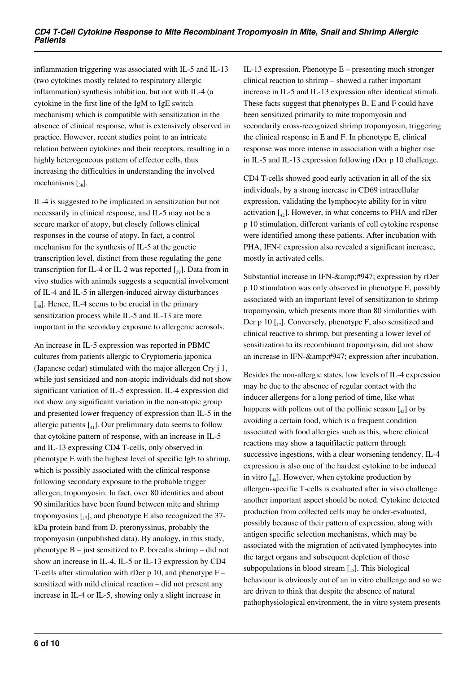inflammation triggering was associated with IL-5 and IL-13 (two cytokines mostly related to respiratory allergic inflammation) synthesis inhibition, but not with IL-4 (a cytokine in the first line of the IgM to IgE switch mechanism) which is compatible with sensitization in the absence of clinical response, what is extensively observed in practice. However, recent studies point to an intricate relation between cytokines and their receptors, resulting in a highly heterogeneous pattern of effector cells, thus increasing the difficulties in understanding the involved mechanisms  $\left[ \begin{smallmatrix} 38 \end{smallmatrix} \right]$ .

IL-4 is suggested to be implicated in sensitization but not necessarily in clinical response, and IL-5 may not be a secure marker of atopy, but closely follows clinical responses in the course of atopy. In fact, a control mechanism for the synthesis of IL-5 at the genetic transcription level, distinct from those regulating the gene transcription for IL-4 or IL-2 was reported  $\lceil_{39}\rceil$ . Data from in vivo studies with animals suggests a sequential involvement of IL-4 and IL-5 in allergen-induced airway disturbances  $\left[ \begin{smallmatrix} 1 & 0 \\ 0 & 0 \end{smallmatrix} \right]$ . Hence, IL-4 seems to be crucial in the primary sensitization process while IL-5 and IL-13 are more important in the secondary exposure to allergenic aerosols.

An increase in IL-5 expression was reported in PBMC cultures from patients allergic to Cryptomeria japonica (Japanese cedar) stimulated with the major allergen Cry j 1, while just sensitized and non-atopic individuals did not show significant variation of IL-5 expression. IL-4 expression did not show any significant variation in the non-atopic group and presented lower frequency of expression than IL-5 in the allergic patients  $\begin{bmatrix} 4 & 1 \end{bmatrix}$ . Our preliminary data seems to follow that cytokine pattern of response, with an increase in IL-5 and IL-13 expressing CD4 T-cells, only observed in phenotype E with the highest level of specific IgE to shrimp, which is possibly associated with the clinical response following secondary exposure to the probable trigger allergen, tropomyosin. In fact, over 80 identities and about 90 similarities have been found between mite and shrimp tropomyosins  $\begin{bmatrix} 1 \\ 1 \end{bmatrix}$ , and phenotype E also recognized the 37kDa protein band from D. pteronyssinus, probably the tropomyosin (unpublished data). By analogy, in this study, phenotype  $B -$  just sensitized to P. borealis shrimp – did not show an increase in IL-4, IL-5 or IL-13 expression by CD4 T-cells after stimulation with rDer  $p 10$ , and phenotype  $F$ sensitized with mild clinical reaction – did not present any increase in IL-4 or IL-5, showing only a slight increase in

IL-13 expression. Phenotype  $E$  – presenting much stronger clinical reaction to shrimp – showed a rather important increase in IL-5 and IL-13 expression after identical stimuli. These facts suggest that phenotypes B, E and F could have been sensitized primarily to mite tropomyosin and secondarily cross-recognized shrimp tropomyosin, triggering the clinical response in E and F. In phenotype E, clinical response was more intense in association with a higher rise in IL-5 and IL-13 expression following rDer p 10 challenge.

CD4 T-cells showed good early activation in all of the six individuals, by a strong increase in CD69 intracellular expression, validating the lymphocyte ability for in vitro activation  $\begin{bmatrix} 4 & 2 \end{bmatrix}$ . However, in what concerns to PHA and rDer p 10 stimulation, different variants of cell cytokine response were identified among these patients. After incubation with PHA, IFN-I expression also revealed a significant increase, mostly in activated cells.

Substantial increase in IFN-γ expression by rDer p 10 stimulation was only observed in phenotype E, possibly associated with an important level of sensitization to shrimp tropomyosin, which presents more than 80 similarities with Der p 10  $\left[ \frac{1}{2} \right]$ . Conversely, phenotype F, also sensitized and clinical reactive to shrimp, but presenting a lower level of sensitization to its recombinant tropomyosin, did not show an increase in IFN-γ expression after incubation.

Besides the non-allergic states, low levels of IL-4 expression may be due to the absence of regular contact with the inducer allergens for a long period of time, like what happens with pollens out of the pollinic season  $\begin{bmatrix} 43 \end{bmatrix}$  or by avoiding a certain food, which is a frequent condition associated with food allergies such as this, where clinical reactions may show a taquifilactic pattern through successive ingestions, with a clear worsening tendency. IL-4 expression is also one of the hardest cytokine to be induced in vitro  $\left[\begin{smallmatrix} 1 \\ 44 \end{smallmatrix}\right]$ . However, when cytokine production by allergen-specific T-cells is evaluated after in vivo challenge another important aspect should be noted. Cytokine detected production from collected cells may be under-evaluated, possibly because of their pattern of expression, along with antigen specific selection mechanisms, which may be associated with the migration of activated lymphocytes into the target organs and subsequent depletion of those subpopulations in blood stream  $\left[ \begin{smallmatrix} 45 \end{smallmatrix} \right]$ . This biological behaviour is obviously out of an in vitro challenge and so we are driven to think that despite the absence of natural pathophysiological environment, the in vitro system presents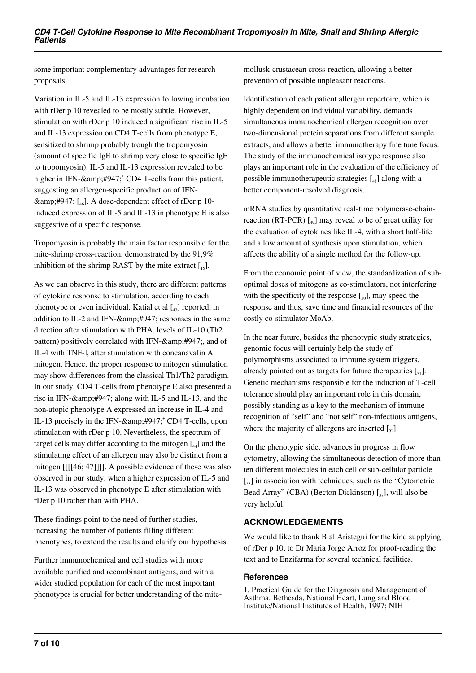some important complementary advantages for research proposals.

Variation in IL-5 and IL-13 expression following incubation with rDer p 10 revealed to be mostly subtle. However, stimulation with rDer p 10 induced a significant rise in IL-5 and IL-13 expression on CD4 T-cells from phenotype E, sensitized to shrimp probably trough the tropomyosin (amount of specific IgE to shrimp very close to specific IgE to tropomyosin). IL-5 and IL-13 expression revealed to be higher in IFN-γ<sup>+</sup> CD4 T-cells from this patient, suggesting an allergen-specific production of IFN γ  $\lceil_{46}\rceil$ . A dose-dependent effect of rDer p 10induced expression of IL-5 and IL-13 in phenotype E is also suggestive of a specific response.

Tropomyosin is probably the main factor responsible for the mite-shrimp cross-reaction, demonstrated by the 91,9% inhibition of the shrimp RAST by the mite extract  $[I_{15}]$ .

As we can observe in this study, there are different patterns of cytokine response to stimulation, according to each phenotype or even individual. Katial et al  $\begin{bmatrix} 4 \\ 4 \end{bmatrix}$  reported, in addition to IL-2 and IFN- $\&$ amp:#947; responses in the same direction after stimulation with PHA, levels of IL-10 (Th2 pattern) positively correlated with IFN-γ and of IL-4 with TNF-β, after stimulation with concanavalin A mitogen. Hence, the proper response to mitogen stimulation may show differences from the classical Th1/Th2 paradigm. In our study, CD4 T-cells from phenotype E also presented a rise in IFN-γ along with IL-5 and IL-13, and the non-atopic phenotype A expressed an increase in IL-4 and IL-13 precisely in the IFN-γ<sup>+</sup> CD4 T-cells, upon stimulation with rDer p 10. Nevertheless, the spectrum of target cells may differ according to the mitogen  $\begin{bmatrix} 4 \end{bmatrix}$  and the stimulating effect of an allergen may also be distinct from a mitogen [[[[46; 47]]]]. A possible evidence of these was also observed in our study, when a higher expression of IL-5 and IL-13 was observed in phenotype E after stimulation with rDer p 10 rather than with PHA.

These findings point to the need of further studies, increasing the number of patients filling different phenotypes, to extend the results and clarify our hypothesis.

Further immunochemical and cell studies with more available purified and recombinant antigens, and with a wider studied population for each of the most important phenotypes is crucial for better understanding of the mite-

mollusk-crustacean cross-reaction, allowing a better prevention of possible unpleasant reactions.

Identification of each patient allergen repertoire, which is highly dependent on individual variability, demands simultaneous immunochemical allergen recognition over two-dimensional protein separations from different sample extracts, and allows a better immunotherapy fine tune focus. The study of the immunochemical isotype response also plays an important role in the evaluation of the efficiency of possible immunotherapeutic strategies  $\begin{bmatrix} 48 \end{bmatrix}$  along with a better component-resolved diagnosis.

mRNA studies by quantitative real-time polymerase-chainreaction (RT-PCR)  $\begin{bmatrix} 40 \end{bmatrix}$  may reveal to be of great utility for the evaluation of cytokines like IL-4, with a short half-life and a low amount of synthesis upon stimulation, which affects the ability of a single method for the follow-up.

From the economic point of view, the standardization of suboptimal doses of mitogens as co-stimulators, not interfering with the specificity of the response  $[\xi_0]$ , may speed the response and thus, save time and financial resources of the costly co-stimulator MoAb.

In the near future, besides the phenotypic study strategies, genomic focus will certainly help the study of polymorphisms associated to immune system triggers, already pointed out as targets for future therapeutics  $[\zeta_{1}]$ . Genetic mechanisms responsible for the induction of T-cell tolerance should play an important role in this domain, possibly standing as a key to the mechanism of immune recognition of "self" and "not self" non-infectious antigens, where the majority of allergens are inserted  $\left[\frac{5}{2}\right]$ .

On the phenotypic side, advances in progress in flow cytometry, allowing the simultaneous detection of more than ten different molecules in each cell or sub-cellular particle  $\left[\frac{53}{100}\right]$  in association with techniques, such as the "Cytometric" Bead Array" (CBA) (Becton Dickinson)  $\left[\begin{smallmatrix}37\end{smallmatrix}\right]$ , will also be very helpful.

## **ACKNOWLEDGEMENTS**

We would like to thank Bial Aristegui for the kind supplying of rDer p 10, to Dr Maria Jorge Arroz for proof-reading the text and to Enzifarma for several technical facilities.

#### **References**

1. Practical Guide for the Diagnosis and Management of Asthma. Bethesda, National Heart, Lung and Blood Institute/National Institutes of Health, 1997; NIH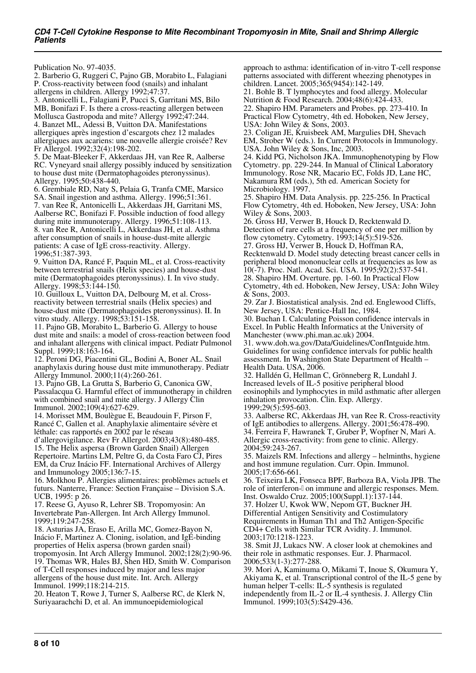Publication No. 97-4035.

2. Barberio G, Ruggeri C, Pajno GB, Morabito L, Falagiani P. Cross-reactivity between food (snails) and inhalant allergens in children. Allergy 1992;47:37. 3. Antonicelli L, Falagiani P, Pucci S, Garritani MS, Bilo MB, Bonifazi F. Is there a cross-reacting allergen between Mollusca Gastropoda and mite? Allergy 1992;47:244. 4. Banzet ML, Adessi B, Vuitton DA. Manifestations allergiques après ingestion d'escargots chez 12 malades allergiques aux acariens: une nouvelle allergie croisée? Rev Fr Allergol. 1992;32(4):198-202. 5. De Maat-Bleeker F, Akkerdaas JH, van Ree R, Aalberse RC. Vyneyard snail allergy possibly induced by sensitization to house dust mite (Dermatophagoides pteronyssinus). Allergy. 1995;50:438-440. 6. Grembiale RD, Naty S, Pelaia G, Tranfa CME, Marsico SA. Snail ingestion and asthma. Allergy. 1996;51:361.

7. van Ree R, Antonicelli L, Akkerdaas JH, Garritani MS, Aalberse RC, Bonifazi F. Possible induction of food allegy during mite immunoterapy. Allergy. 1996;51:108-113. 8. van Ree R, Antonicelli L, Akkerdaas JH, et al. Asthma after consumption of snails in house-dust-mite allergic patients: A case of IgE cross-reactivity. Allergy. 1996;51:387-393.

9. Vuitton DA, Rancé F, Paquin ML, et al. Cross-reactivity between terrestrial snails (Helix species) and house-dust mite (Dermatophagoides pteronyssinus). I. In vivo study. Allergy. 1998;53:144-150.

10. Guilloux L, Vuitton DA, Delbourg M, et al. Crossreactivity between terrestrial snails (Helix species) and house-dust mite (Dermatophagoides pteronyssinus). II. In vitro study. Allergy. 1998;53:151-158.

11. Pajno GB, Morabito L, Barberio G. Allergy to house dust mite and snails: a model of cross-reaction between food and inhalant allergens with clinical impact. Pediatr Pulmonol Suppl. 1999;18:163-164.

12. Peroni DG, Piacentini GL, Bodini A, Boner AL. Snail anaphylaxis during house dust mite immunotherapy. Pediatr Allergy Immunol. 2000;11(4):260-261.

13. Pajno GB, La Grutta S, Barberio G, Canonica GW, Passalacqua G. Harmful effect of immunotherapy in children with combined snail and mite allergy. J Allergy Clin Immunol. 2002;109(4):627-629.

14. Morisset MM, Boulègue E, Beaudouin F, Pirson F, Rancé C, Gallen et al. Anaphylaxie alimentaire sévère et léthale: cas rapportés en 2002 par le réseau

d'allergovigilance. Rev Fr Allergol. 2003;43(8):480-485. 15. The Helix aspersa (Brown Garden Snail) Allergen Repertoire. Martins LM, Peltre G, da Costa Faro CJ, Pires EM, da Cruz Inácio FF. International Archives of Allergy

and Immunology 2005;136:7-15. 16. Molkhou P. Allergies alimentaires: problèmes actuels et futurs. Nanterre, France: Section Française – Division S.A. UCB, 1995: p 26.

17. Reese G, Ayuso R, Lehrer SB. Tropomyosin: An Invertebrate Pan-Allergen. Int Arch Allergy Immunol. 1999;119:247-258.

18. Asturias JA, Eraso E, Arilla MC, Gomez-Bayon N, Inácio F, Martinez A. Cloning, isolation, and IgE-binding properties of Helix aspersa (brown garden snail) tropomyosin. Int Arch Allergy Immunol. 2002;128(2):90-96. 19. Thomas WR, Hales BJ, Shen HD, Smith W. Comparison of T-Cell responses induced by major and less major allergens of the house dust mite. Int. Arch. Allergy Immunol. 1999;118:214-215.

20. Heaton T, Rowe J, Turner S, Aalberse RC, de Klerk N, Suriyaarachchi D, et al. An immunoepidemiological

approach to asthma: identification of in-vitro T-cell response patterns associated with different wheezing phenotypes in children. Lancet. 2005;365(9454):142-149.

21. Bohle B. T lymphocytes and food allergy. Molecular Nutrition & Food Research. 2004;48(6):424-433.

22. Shapiro HM. Parameters and Probes. pp. 273-410. In Practical Flow Cytometry, 4th ed. Hoboken, New Jersey, USA: John Wiley & Sons, 2003.

23. Coligan JE, Kruisbeek AM, Margulies DH, Shevach EM, Strober W (eds.). In Current Protocols in Immunology. USA. John Wiley & Sons, Inc, 2003.

24. Kidd PG, Nicholson JKA. Immunophenotyping by Flow Cytometry. pp. 229-244. In Manual of Clinical Laboratory Immunology. Rose NR, Macario EC, Folds JD, Lane HC, Nakamura RM (eds.), 5th ed. American Society for Microbiology. 1997.

25. Shapiro HM. Data Analysis. pp. 225-256. In Practical Flow Cytometry, 4th ed. Hoboken, New Jersey, USA: John Wiley & Sons, 2003.

26. Gross HJ, Verwer B, Houck D, Recktenwald D. Detection of rare cells at a frequency of one per million by flow cytometry. Cytometry. 1993;14(5):519-526.

27. Gross HJ, Verwer B, Houck D, Hoffman RA, Recktenwald D. Model study detecting breast cancer cells in peripheral blood mononuclear cells at frequencies as low as 10(-7). Proc. Natl. Acad. Sci. USA. 1995;92(2):537-541. 28. Shapiro HM. Overture. pp. 1-60. In Practical Flow Cytometry, 4th ed. Hoboken, New Jersey, USA: John Wiley

& Sons, 2003. 29. Zar J. Biostatistical analysis. 2nd ed. Englewood Cliffs,

New Jersey, USA: Pentice-Hall Inc, 1984. 30. Buchan I. Calculating Poisson confidence intervals in Excel. In Public Health Informatics at the University of Manchester (www.phi.man.ac.uk) 2004.

31. www.doh.wa.gov/Data/Guidelines/ConfIntguide.htm. Guidelines for using confidence intervals for public health assessment. In Washington State Department of Health – Health Data. USA, 2006.

32. Halldén G, Hellman C, Grönneberg R, Lundahl J. Increased levels of IL-5 positive peripheral blood eosinophils and lymphocytes in mild asthmatic after allergen inhalation provocation. Clin. Exp. Allergy. 1999;29(5):595-603.

33. Aalberse RC, Akkerdaas JH, van Ree R. Cross-reactivity of IgE antibodies to allergens. Allergy. 2001;56:478-490. 34. Ferreira F, Hawranek T, Gruber P, Wopfner N, Mari A. Allergic cross-reactivity: from gene to clinic. Allergy. 2004;59:243-267.

35. Maizels RM. Infections and allergy – helminths, hygiene and host immune regulation. Curr. Opin. Immunol. 2005;17:656-661.

36. Teixeira LK, Fonseca BPF, Barboza BA, Viola JPB. The role of interferon- $\alpha$  on immune and allergic responses. Mem. Inst. Oswaldo Cruz. 2005;100(Suppl.1):137-144.

37. Holzer U, Kwok WW, Nepom GT, Buckner JH. Differential Antigen Sensitivity and Costimulatory Requirements in Human Th1 and Th2 Antigen-Specific CD4+ Cells with Similar TCR Avidity. J. Immunol. 2003;170:1218-1223.

38. Smit JJ, Lukacs NW. A closer look at chemokines and their role in asthmatic responses. Eur. J. Pharmacol. 2006;533(1-3):277-288.

39. Mori A, Kaminuma O, Mikami T, Inoue S, Okumura Y, Akiyama K, et al. Transcriptional control of the IL-5 gene by human helper T-cells: IL-5 synthesis is regulated independently from IL-2 or IL-4 synthesis. J. Allergy Clin Immunol. 1999;103(5):S429-436.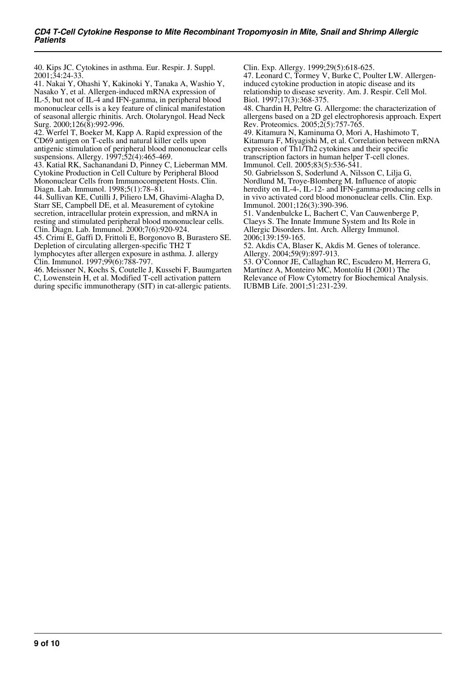40. Kips JC. Cytokines in asthma. Eur. Respir. J. Suppl. 2001;34:24-33.

41. Nakai Y, Ohashi Y, Kakinoki Y, Tanaka A, Washio Y, Nasako Y, et al. Allergen-induced mRNA expression of IL-5, but not of IL-4 and IFN-gamma, in peripheral blood mononuclear cells is a key feature of clinical manifestation of seasonal allergic rhinitis. Arch. Otolaryngol. Head Neck Surg. 2000;126(8):992-996.

42. Werfel T, Boeker M, Kapp A. Rapid expression of the CD69 antigen on T-cells and natural killer cells upon antigenic stimulation of peripheral blood mononuclear cells suspensions. Allergy. 1997;52(4):465-469.

43. Katial RK, Sachanandani D, Pinney C, Lieberman MM. Cytokine Production in Cell Culture by Peripheral Blood Mononuclear Cells from Immunocompetent Hosts. Clin. Diagn. Lab. Immunol. 1998;5(1):78–81.

44. Sullivan KE, Cutilli J, Piliero LM, Ghavimi-Alagha D, Starr SE, Campbell DE, et al. Measurement of cytokine secretion, intracellular protein expression, and mRNA in resting and stimulated peripheral blood mononuclear cells. Clin. Diagn. Lab. Immunol. 2000;7(6):920-924.

45. Crimi E, Gaffi D, Frittoli E, Borgonovo B, Burastero SE. Depletion of circulating allergen-specific TH2 T

lymphocytes after allergen exposure in asthma. J. allergy Clin. Immunol. 1997;99(6):788-797.

46. Meissner N, Kochs S, Coutelle J, Kussebi F, Baumgarten C, Lowenstein H, et al. Modified T-cell activation pattern during specific immunotherapy (SIT) in cat-allergic patients.

Clin. Exp. Allergy. 1999;29(5):618-625.

47. Leonard C, Tormey V, Burke C, Poulter LW. Allergeninduced cytokine production in atopic disease and its relationship to disease severity. Am. J. Respir. Cell Mol. Biol. 1997;17(3):368-375.

48. Chardin H, Peltre G. Allergome: the characterization of allergens based on a 2D gel electrophoresis approach. Expert Rev. Proteomics. 2005;2(5):757-765.

49. Kitamura N, Kaminuma O, Mori A, Hashimoto T, Kitamura F, Miyagishi M, et al. Correlation between mRNA expression of Th1/Th2 cytokines and their specific transcription factors in human helper T-cell clones.

Immunol. Cell. 2005;83(5):536-541.

50. Gabrielsson S, Soderlund A, Nilsson C, Lilja G, Nordlund M, Troye-Blomberg M. Influence of atopic heredity on IL-4-, IL-12- and IFN-gamma-producing cells in in vivo activated cord blood mononuclear cells. Clin. Exp. Immunol. 2001;126(3):390-396.

51. Vandenbulcke L, Bachert C, Van Cauwenberge P, Claeys S. The Innate Immune System and Its Role in Allergic Disorders. Int. Arch. Allergy Immunol. 2006;139:159-165.

52. Akdis CA, Blaser K, Akdis M. Genes of tolerance. Allergy. 2004;59(9):897-913.

53. O'Connor JE, Callaghan RC, Escudero M, Herrera G, Martínez A, Monteiro MC, Montolíu H (2001) The Relevance of Flow Cytometry for Biochemical Analysis. IUBMB Life. 2001;51:231-239.